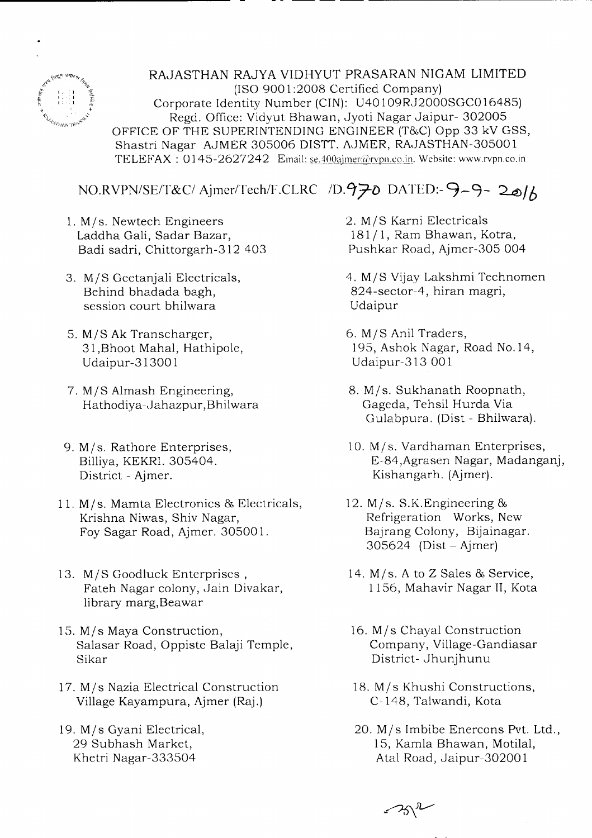

RAJASTHAN RAJYA VIDHYUT PRASARAN NIGAM LIMITED (ISO 9001:2008 Certified Company) Corporate Identity Number (CIN): U401 09R,J2000SGCO 16485) Regd. Office: Vidyut Bhawan, Jyoti Nagar Jaipur- 302005 OFFICE OF THE SUPERINTENDING ENGINEER (T&C) Opp 33 kV GSS, Shastri Nagar AJMER 305006 DISTT. AJMER, RAJASTHAN-305001 TELEFAX: 0145-2627242 Email: se.400ajmer@rvpn.co.in. Website: www.rvpn.co.in

- - -- -- -- -------------

*NO.RVPN/SE/T&C/* Ajmer/Tech/F.CLRC */D.970* DATED:- 9-9- 20/6

- 1. M/s. Newtech Engineers Laddha Gali, Sadar Bazar, Badi sadri, Chittorgarh-312 403
- *3. MIS* Geetanjali Electricals, Behind bhadada bagh, session court bhilwara
- *5. MIS* Ak Transcharger, 31 ,Bhoot Mahal, Hathipole, Udaipur-31300 1
- 7. *MIS* Almash Engineering, Hathodiya-Jahazpur, Bhilwara
- 9. M/s. Rathore Enterprises, Billiya, KEKRI. 305404. District - Ajmer.
- 11. M/s. Mamta Electronics & Electricals, Krishna Niwas, Shiv Nagar, Foy Sagar Road, Ajmer. <sup>30500</sup> l.
- *13. MIS* Goodluck Enterprises, Fateh Nagar colony, Jain Divakar, library marg,Beawar
- 15. M/s Maya Construction, Salasar Road, Oppiste Balaji Temple, Sikar
- *17. Mis* Nazia Electrical Construction Village Kayampura, Ajmer (Raj.)
- *19. Mis* Gyani Electrical, 29 Subhash Market, Khetri Nagar-333504

2. *MIS* Karni Electricals *181/1,* Ram Bhawan, Kotra, Pushkar Road, Ajmer-305 004

*4. MIS* Vijay Lakshmi Technomen 824-sector-4, hiran magri, Udaipur

- *6. MIS* Anil Traders, 195, Ashok Nagar, Road No.14, Udaipur-313 001
- 8. M/s. Sukhanath Roopnath, Gageda, Tehsil Hurda Via Gulabpura. (Dist - Bhilwara).
- 10. M/s. Vardhaman Enterprises, E-84,Agrasen Nagar, Madanganj, Kishangarh. (Ajmer).
- 12.  $M/s$ . S.K. Engineering & Refrigeration Works, New Bajrang Colony, Bijainagar.  $305624$  (Dist – Ajmer)
- 14. M/s. A to Z Sales & Service, 1156, Mahavir Nagar II, Kota
- 16. *Mis* Chayal Construction Company, Village-Gandiasar District- Jhunjhunu
- 18. M/s Khushi Constructions, C-148, Talwandi, Kota
- *20. Mis* Imbibe Enercons Pvt. Ltd., 15, Kamla Bhawan, Motilal, Atal Road, Jaipur-30200 1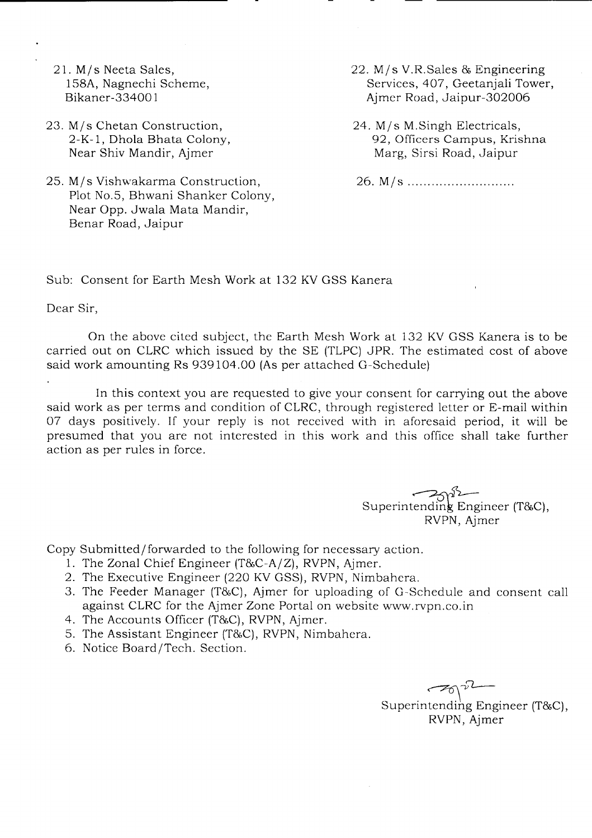- 21. M/s Neeta Sales, 158A, Nagnechi Scheme, Bikaner-33400 1
- 23. M/s Chetan Construction, 2-K-l, Dho1a Bhata Colony, Near Shiv Mandir, Ajmer
- 25. M/s Vishwakarma Construction, Plot No.5, Bhwani Shanker Colony, Near Opp. Jwala Mata Mandir, Benar Road, Jaipur

22. M/s V.R.Sales & Engineering Services, 407, Geetanjali Tower, Ajmer Road, Jaipur-302006

24. M/s M.Singh Electricals, 92, Officers Campus, Krishna Marg, Sirsi Road, Jaipur

26. M/s .

Sub: Consent for Earth Mesh Work at 132 KV GSS Kanera

Dear Sir,

On the above cited subject, the Earth Mesh Work at 132 KV GSS Kanera is to be carried out on CLRC which issued by the SE (TLPC) JPR. The estimated cost of above said work amounting Rs 939104.00 (As per attached G-Schedule)

In this context you are requested to give your consent for carrying out the above said work as per terms and condition of CLRC, through registered letter or E-mail within 07 days positively. If your reply is not received with in aforesaid period, it will be presumed that you are not interested in this work and this office shall take further action as per rules in force.

superintending Engineer (T&C), RVPN, Ajmer

Copy Submitted/forwarded to the following for necessary action.

- 1. The Zonal Chief Engineer (T&C-A/Z), RVPN, Ajmer.
- 2. The Executive Engineer (220 KV GSS), RVPN, Nimbahera.
- 3. The Feeder Manager (T&C), Ajmer for uploading of G-Schedule and consent call against CLRC for the Ajmer Zone Portal on website www.rvpn.co.in
- 4. The Accounts Officer (T&C), RVPN, Ajmer.
- 5. The Assistant Engineer (T&C), RVPN, Nimbahera.
- 6. Notice Board/Tech. Section.

*~-v'L-*Superintending Engineer (T&C), RVPN, Ajmer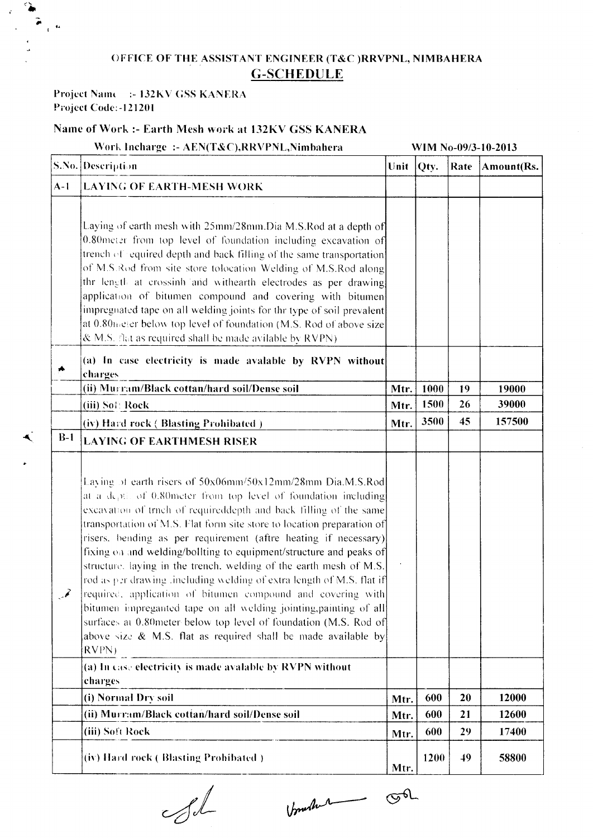## OFFICE OF THE ASSISTANT ENGINEER (T&C )RRVPNL, NIMBAHERA G-SCHEDULE

Work Incharge :- AEN(T&C),RRVPNL,Nimbahera WIM No-09/3-10-2013

## Project Name :- 132KV GSS KANERA Project Code:-121201

t.

€

## Name of Work :- Earth Mesh work at 132KV GSS KANERA

S. No. Description Unit Qty. Rate Amount(I **A-1 LAYING OF EARTH-MESH WORK** Laying of earth mesh with  $25$ mm/ $28$ mm.Dia M.S.Rod at a depth of  $\vert 0.80$  meter from top level of foundation including excavation of trench of equired depth and back filling of the same transportation of M.S.Rod from site store tolocation Welding of M.S.Rod along thr length at crossinh and withearth electrodes as per drawing application of bitumen compound and covering with bitumen impregnated tape on all welding joints for thr type of soil prevalent ~ at 0.80theter below top level of foundation (M.S. Rod of above size  $&$  M.S. flat as required shall be made avilable by RVPN). l-· (a) **In** case electricity is made avalable by RVPN without charges (ii) Murram/Black cottan/hard soil/Dense soil  $\mu$  Mtr. | 1000 | 19 | 19000 (iii) Sof Rock 39000 (iv) Hard rock (Blasting Prohibated ) Mtr.  $\left| \text{Mtr.} \right|$  3500  $\left| \right|$  45  $\left| \right|$  157500 **B-1** LAYING OF EARTHMESH RISER Laving of earth risers of 50x06mm/50x12mm/28mm Dia.M.S.Rod at a  $d_{\rm CP}$ . of 0.80 meter from top level of foundation including excavation of trnch of requireddepth and back filling of the same transportation of M.S. Flat form site store to location preparation of risers. bending as per requirement (aftre heating if necessary) fixing  $\circ$  and welding/bollting to equipment/structure and peaks of structure. laying in the trench, welding of the earth mesh of M.S. rod as per drawing .including welding of extra length of M.S. flat if required, application of bitumen compound and covering with  $\mathscr{I}$ bitumen impreganted tape on all welding jointing,painting of all surfaces at 0.80meter below top level of foundation (M.S. Rod of above size  $\&$  M.S. flat as required shall be made available by RVPNJ -- (a) In case electricity is made avalable by RVPN withou charges - (i) Normal Dry soil  $\mathbf{Mtr.}$  600 | 20 | 12000 (ii) Murr:tm/Black eotian/hard soillDense soil Mtr. 600 21 12600 (iii) Soft Rock Mtr. | 600 | 29 | 17400 .--~ ... (iv) Hard rock ( Blasting Prohibated )  $\left| \begin{array}{c} R_{\rm H} \end{array} \right| 1200 \left| 49 \right| 58800$  $\blacksquare$ 

boucher Sil

 $O$